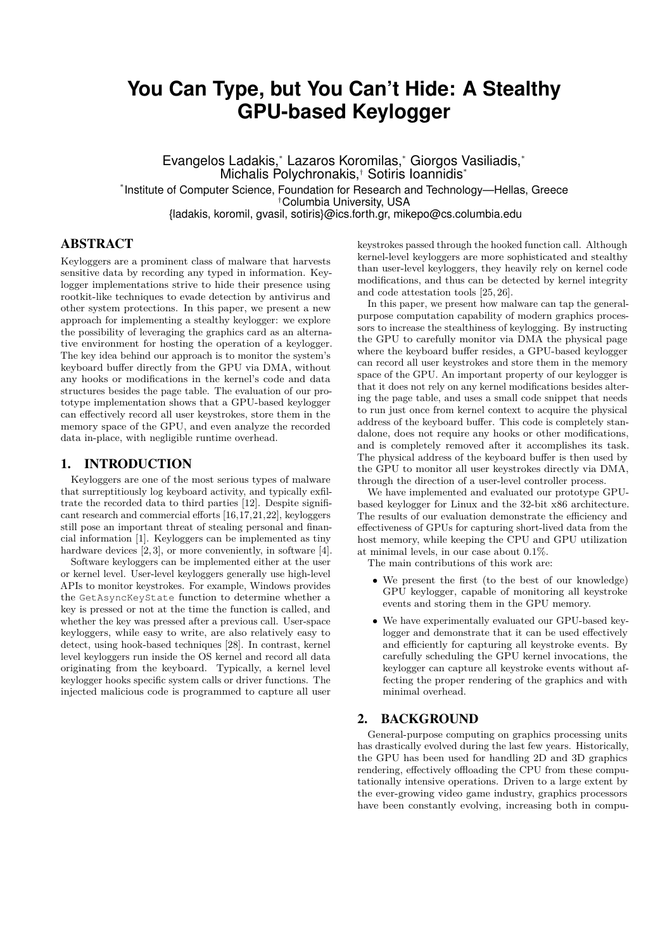# **You Can Type, but You Can't Hide: A Stealthy GPU-based Keylogger**

Evangelos Ladakis,\* Lazaros Koromilas,\* Giorgos Vasiliadis,\* Michalis Polychronakis,† Sotiris Ioannidis\* \* Institute of Computer Science, Foundation for Research and Technology—Hellas, Greece †Columbia University, USA {ladakis, koromil, gvasil, sotiris}@ics.forth.gr, mikepo@cs.columbia.edu

# ABSTRACT

Keyloggers are a prominent class of malware that harvests sensitive data by recording any typed in information. Keylogger implementations strive to hide their presence using rootkit-like techniques to evade detection by antivirus and other system protections. In this paper, we present a new approach for implementing a stealthy keylogger: we explore the possibility of leveraging the graphics card as an alternative environment for hosting the operation of a keylogger. The key idea behind our approach is to monitor the system's keyboard buffer directly from the GPU via DMA, without any hooks or modifications in the kernel's code and data structures besides the page table. The evaluation of our prototype implementation shows that a GPU-based keylogger can effectively record all user keystrokes, store them in the memory space of the GPU, and even analyze the recorded data in-place, with negligible runtime overhead.

# 1. INTRODUCTION

Keyloggers are one of the most serious types of malware that surreptitiously log keyboard activity, and typically exfiltrate the recorded data to third parties [\[12\]](#page-5-0). Despite significant research and commercial efforts [\[16,](#page-5-1)[17,](#page-5-2)[21,](#page-5-3)[22\]](#page-5-4), keyloggers still pose an important threat of stealing personal and financial information [\[1\]](#page-5-5). Keyloggers can be implemented as tiny hardware devices [\[2,](#page-5-6) [3\]](#page-5-7), or more conveniently, in software [\[4\]](#page-5-8).

Software keyloggers can be implemented either at the user or kernel level. User-level keyloggers generally use high-level APIs to monitor keystrokes. For example, Windows provides the GetAsyncKeyState function to determine whether a key is pressed or not at the time the function is called, and whether the key was pressed after a previous call. User-space keyloggers, while easy to write, are also relatively easy to detect, using hook-based techniques [\[28\]](#page-5-9). In contrast, kernel level keyloggers run inside the OS kernel and record all data originating from the keyboard. Typically, a kernel level keylogger hooks specific system calls or driver functions. The injected malicious code is programmed to capture all user

keystrokes passed through the hooked function call. Although kernel-level keyloggers are more sophisticated and stealthy than user-level keyloggers, they heavily rely on kernel code modifications, and thus can be detected by kernel integrity and code attestation tools [\[25,](#page-5-10) [26\]](#page-5-11).

In this paper, we present how malware can tap the generalpurpose computation capability of modern graphics processors to increase the stealthiness of keylogging. By instructing the GPU to carefully monitor via DMA the physical page where the keyboard buffer resides, a GPU-based keylogger can record all user keystrokes and store them in the memory space of the GPU. An important property of our keylogger is that it does not rely on any kernel modifications besides altering the page table, and uses a small code snippet that needs to run just once from kernel context to acquire the physical address of the keyboard buffer. This code is completely standalone, does not require any hooks or other modifications, and is completely removed after it accomplishes its task. The physical address of the keyboard buffer is then used by the GPU to monitor all user keystrokes directly via DMA, through the direction of a user-level controller process.

We have implemented and evaluated our prototype GPUbased keylogger for Linux and the 32-bit x86 architecture. The results of our evaluation demonstrate the efficiency and effectiveness of GPUs for capturing short-lived data from the host memory, while keeping the CPU and GPU utilization at minimal levels, in our case about 0.1%.

The main contributions of this work are:

- We present the first (to the best of our knowledge) GPU keylogger, capable of monitoring all keystroke events and storing them in the GPU memory.
- We have experimentally evaluated our GPU-based keylogger and demonstrate that it can be used effectively and efficiently for capturing all keystroke events. By carefully scheduling the GPU kernel invocations, the keylogger can capture all keystroke events without affecting the proper rendering of the graphics and with minimal overhead.

#### 2. BACKGROUND

General-purpose computing on graphics processing units has drastically evolved during the last few years. Historically, the GPU has been used for handling 2D and 3D graphics rendering, effectively offloading the CPU from these computationally intensive operations. Driven to a large extent by the ever-growing video game industry, graphics processors have been constantly evolving, increasing both in compu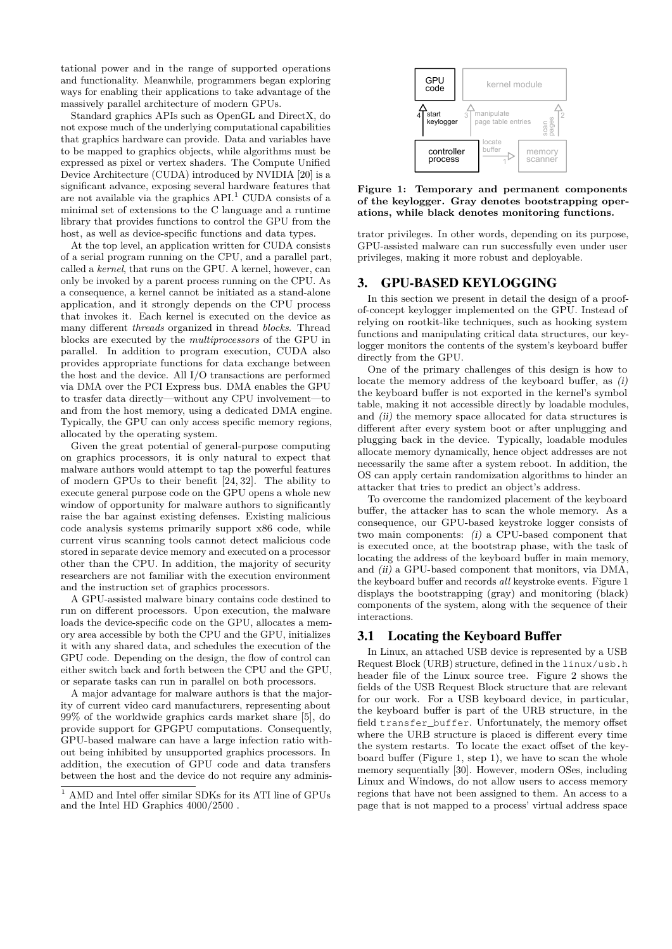tational power and in the range of supported operations and functionality. Meanwhile, programmers began exploring ways for enabling their applications to take advantage of the massively parallel architecture of modern GPUs.

Standard graphics APIs such as OpenGL and DirectX, do not expose much of the underlying computational capabilities that graphics hardware can provide. Data and variables have to be mapped to graphics objects, while algorithms must be expressed as pixel or vertex shaders. The Compute Unified Device Architecture (CUDA) introduced by NVIDIA [\[20\]](#page-5-12) is a significant advance, exposing several hardware features that are not available via the graphics  $API.1$  $API.1$  CUDA consists of a minimal set of extensions to the C language and a runtime library that provides functions to control the GPU from the host, as well as device-specific functions and data types.

At the top level, an application written for CUDA consists of a serial program running on the CPU, and a parallel part, called a *kernel*, that runs on the GPU. A kernel, however, can only be invoked by a parent process running on the CPU. As a consequence, a kernel cannot be initiated as a stand-alone application, and it strongly depends on the CPU process that invokes it. Each kernel is executed on the device as many different *threads* organized in thread *blocks*. Thread blocks are executed by the *multiprocessors* of the GPU in parallel. In addition to program execution, CUDA also provides appropriate functions for data exchange between the host and the device. All I/O transactions are performed via DMA over the PCI Express bus. DMA enables the GPU to trasfer data directly—without any CPU involvement—to and from the host memory, using a dedicated DMA engine. Typically, the GPU can only access specific memory regions, allocated by the operating system.

Given the great potential of general-purpose computing on graphics processors, it is only natural to expect that malware authors would attempt to tap the powerful features of modern GPUs to their benefit [\[24,](#page-5-13) [32\]](#page-5-14). The ability to execute general purpose code on the GPU opens a whole new window of opportunity for malware authors to significantly raise the bar against existing defenses. Existing malicious code analysis systems primarily support x86 code, while current virus scanning tools cannot detect malicious code stored in separate device memory and executed on a processor other than the CPU. In addition, the majority of security researchers are not familiar with the execution environment and the instruction set of graphics processors.

A GPU-assisted malware binary contains code destined to run on different processors. Upon execution, the malware loads the device-specific code on the GPU, allocates a memory area accessible by both the CPU and the GPU, initializes it with any shared data, and schedules the execution of the GPU code. Depending on the design, the flow of control can either switch back and forth between the CPU and the GPU, or separate tasks can run in parallel on both processors.

A major advantage for malware authors is that the majority of current video card manufacturers, representing about 99% of the worldwide graphics cards market share [\[5\]](#page-5-15), do provide support for GPGPU computations. Consequently, GPU-based malware can have a large infection ratio without being inhibited by unsupported graphics processors. In addition, the execution of GPU code and data transfers between the host and the device do not require any adminis-



<span id="page-1-1"></span>**Figure 1: Temporary and permanent components of the keylogger. Gray denotes bootstrapping operations, while black denotes monitoring functions.**

trator privileges. In other words, depending on its purpose, GPU-assisted malware can run successfully even under user privileges, making it more robust and deployable.

## <span id="page-1-2"></span>3. GPU-BASED KEYLOGGING

In this section we present in detail the design of a proofof-concept keylogger implemented on the GPU. Instead of relying on rootkit-like techniques, such as hooking system functions and manipulating critical data structures, our keylogger monitors the contents of the system's keyboard buffer directly from the GPU.

One of the primary challenges of this design is how to locate the memory address of the keyboard buffer, as (i) the keyboard buffer is not exported in the kernel's symbol table, making it not accessible directly by loadable modules, and (ii) the memory space allocated for data structures is different after every system boot or after unplugging and plugging back in the device. Typically, loadable modules allocate memory dynamically, hence object addresses are not necessarily the same after a system reboot. In addition, the OS can apply certain randomization algorithms to hinder an attacker that tries to predict an object's address.

To overcome the randomized placement of the keyboard buffer, the attacker has to scan the whole memory. As a consequence, our GPU-based keystroke logger consists of two main components: (i) a CPU-based component that is executed once, at the bootstrap phase, with the task of locating the address of the keyboard buffer in main memory, and (ii) a GPU-based component that monitors, via DMA, the keyboard buffer and records *all* keystroke events. Figure [1](#page-1-1) displays the bootstrapping (gray) and monitoring (black) components of the system, along with the sequence of their interactions.

## 3.1 Locating the Keyboard Buffer

In Linux, an attached USB device is represented by a USB Request Block (URB) structure, defined in the linux/usb.h header file of the Linux source tree. Figure [2](#page-2-0) shows the fields of the USB Request Block structure that are relevant for our work. For a USB keyboard device, in particular, the keyboard buffer is part of the URB structure, in the field transfer\_buffer. Unfortunately, the memory offset where the URB structure is placed is different every time the system restarts. To locate the exact offset of the keyboard buffer (Figure [1,](#page-1-1) step 1), we have to scan the whole memory sequentially [\[30\]](#page-5-16). However, modern OSes, including Linux and Windows, do not allow users to access memory regions that have not been assigned to them. An access to a page that is not mapped to a process' virtual address space

<span id="page-1-0"></span> $^{\rm 1}$  AMD and Intel offer similar SDKs for its ATI line of GPUs and the Intel HD Graphics 4000/2500 .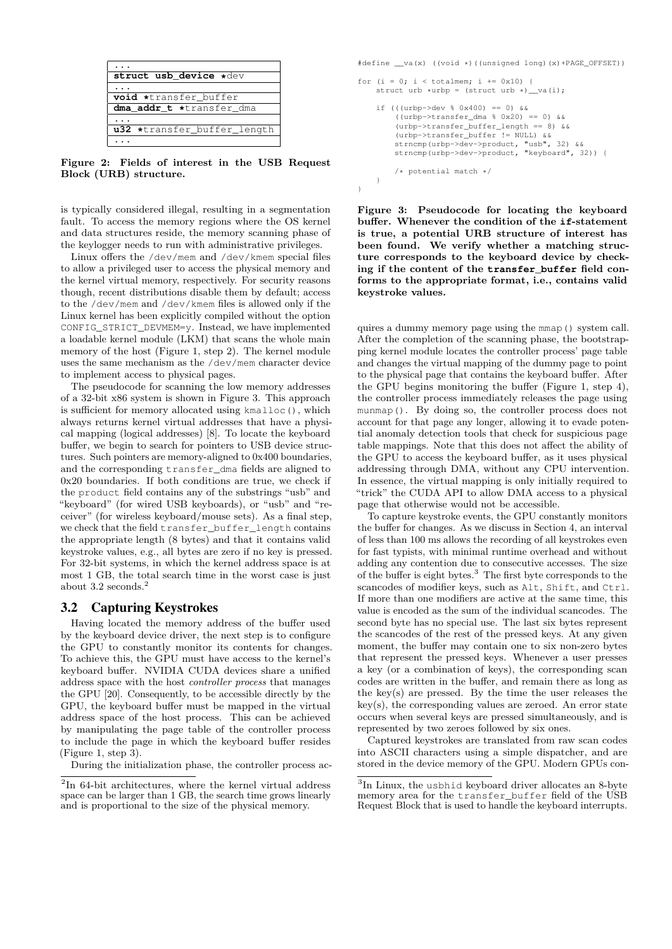| struct usb device *dev      |
|-----------------------------|
|                             |
| void *transfer buffer       |
| dma addr t *transfer dma    |
|                             |
| u32 *transfer buffer length |
|                             |

<span id="page-2-0"></span>**Figure 2: Fields of interest in the USB Request Block (URB) structure.**

is typically considered illegal, resulting in a segmentation fault. To access the memory regions where the OS kernel and data structures reside, the memory scanning phase of the keylogger needs to run with administrative privileges.

Linux offers the /dev/mem and /dev/kmem special files to allow a privileged user to access the physical memory and the kernel virtual memory, respectively. For security reasons though, recent distributions disable them by default; access to the /dev/mem and /dev/kmem files is allowed only if the Linux kernel has been explicitly compiled without the option CONFIG\_STRICT\_DEVMEM=y. Instead, we have implemented a loadable kernel module (LKM) that scans the whole main memory of the host (Figure [1,](#page-1-1) step 2). The kernel module uses the same mechanism as the /dev/mem character device to implement access to physical pages.

The pseudocode for scanning the low memory addresses of a 32-bit x86 system is shown in Figure [3.](#page-2-1) This approach is sufficient for memory allocated using kmalloc(), which always returns kernel virtual addresses that have a physical mapping (logical addresses) [\[8\]](#page-5-17). To locate the keyboard buffer, we begin to search for pointers to USB device structures. Such pointers are memory-aligned to 0x400 boundaries, and the corresponding transfer\_dma fields are aligned to 0x20 boundaries. If both conditions are true, we check if the product field contains any of the substrings "usb" and "keyboard" (for wired USB keyboards), or "usb" and "receiver" (for wireless keyboard/mouse sets). As a final step, we check that the field transfer\_buffer\_length contains the appropriate length (8 bytes) and that it contains valid keystroke values, e.g., all bytes are zero if no key is pressed. For 32-bit systems, in which the kernel address space is at most 1 GB, the total search time in the worst case is just about 3.[2](#page-2-2) seconds. $^{2}$ 

## 3.2 Capturing Keystrokes

Having located the memory address of the buffer used by the keyboard device driver, the next step is to configure the GPU to constantly monitor its contents for changes. To achieve this, the GPU must have access to the kernel's keyboard buffer. NVIDIA CUDA devices share a unified address space with the host *controller process* that manages the GPU [\[20\]](#page-5-12). Consequently, to be accessible directly by the GPU, the keyboard buffer must be mapped in the virtual address space of the host process. This can be achieved by manipulating the page table of the controller process to include the page in which the keyboard buffer resides (Figure [1,](#page-1-1) step 3).

During the initialization phase, the controller process ac-

#define \_\_va(x) ((void \*)((unsigned long)(x)+PAGE\_OFFSET))

```
for (i = 0; i < total totalmem; i += 0x10 {
    struct urb *urbp = (struct urb *) va(i);
    if (((urbp->dev % 0x400) == 0) &&
          ((urbp - \times transfer\_dma \, % \, 0x20) == 0) & &
          (urbp->transfer buffer length == 8) &&&&&&\n(urbp->transfer_buffer != NULL) &&
          strncmp(urbp->dev->product, "usb", 32) &&
strncmp(urbp->dev->product, "keyboard", 32)) {
         /* potential match */
    }
}
```
<span id="page-2-1"></span>**Figure 3: Pseudocode for locating the keyboard buffer. Whenever the condition of the if-statement is true, a potential URB structure of interest has been found. We verify whether a matching structure corresponds to the keyboard device by checking if the content of the transfer\_buffer field conforms to the appropriate format, i.e., contains valid keystroke values.**

quires a dummy memory page using the mmap() system call. After the completion of the scanning phase, the bootstrapping kernel module locates the controller process' page table and changes the virtual mapping of the dummy page to point to the physical page that contains the keyboard buffer. After the GPU begins monitoring the buffer (Figure [1,](#page-1-1) step 4), the controller process immediately releases the page using munmap(). By doing so, the controller process does not account for that page any longer, allowing it to evade potential anomaly detection tools that check for suspicious page table mappings. Note that this does not affect the ability of the GPU to access the keyboard buffer, as it uses physical addressing through DMA, without any CPU intervention. In essence, the virtual mapping is only initially required to "trick" the CUDA API to allow DMA access to a physical page that otherwise would not be accessible.

To capture keystroke events, the GPU constantly monitors the buffer for changes. As we discuss in Section [4,](#page-3-0) an interval of less than 100 ms allows the recording of all keystrokes even for fast typists, with minimal runtime overhead and without adding any contention due to consecutive accesses. The size of the buffer is eight bytes.[3](#page-2-3) The first byte corresponds to the scancodes of modifier keys, such as Alt, Shift, and Ctrl. If more than one modifiers are active at the same time, this value is encoded as the sum of the individual scancodes. The second byte has no special use. The last six bytes represent the scancodes of the rest of the pressed keys. At any given moment, the buffer may contain one to six non-zero bytes that represent the pressed keys. Whenever a user presses a key (or a combination of keys), the corresponding scan codes are written in the buffer, and remain there as long as the key(s) are pressed. By the time the user releases the key(s), the corresponding values are zeroed. An error state occurs when several keys are pressed simultaneously, and is represented by two zeroes followed by six ones.

Captured keystrokes are translated from raw scan codes into ASCII characters using a simple dispatcher, and are stored in the device memory of the GPU. Modern GPUs con-

<span id="page-2-2"></span><sup>2</sup> In 64-bit architectures, where the kernel virtual address space can be larger than 1 GB, the search time grows linearly and is proportional to the size of the physical memory.

<span id="page-2-3"></span><sup>&</sup>lt;sup>3</sup>In Linux, the usbhid keyboard driver allocates an 8-byte memory area for the transfer\_buffer field of the USB Request Block that is used to handle the keyboard interrupts.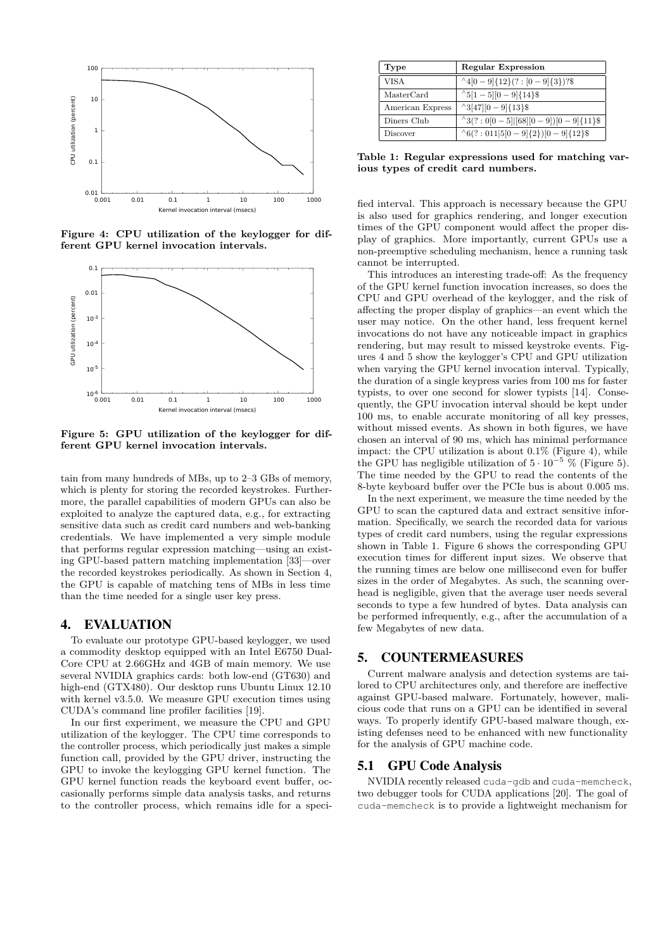

<span id="page-3-1"></span>**Figure 4: CPU utilization of the keylogger for different GPU kernel invocation intervals.**



<span id="page-3-2"></span>**Figure 5: GPU utilization of the keylogger for different GPU kernel invocation intervals.**

tain from many hundreds of MBs, up to 2–3 GBs of memory, which is plenty for storing the recorded keystrokes. Furthermore, the parallel capabilities of modern GPUs can also be exploited to analyze the captured data, e.g., for extracting sensitive data such as credit card numbers and web-banking credentials. We have implemented a very simple module that performs regular expression matching—using an existing GPU-based pattern matching implementation [\[33\]](#page-5-18)—over the recorded keystrokes periodically. As shown in Section [4,](#page-3-0) the GPU is capable of matching tens of MBs in less time than the time needed for a single user key press.

#### <span id="page-3-0"></span>4. EVALUATION

To evaluate our prototype GPU-based keylogger, we used a commodity desktop equipped with an Intel E6750 Dual-Core CPU at 2.66GHz and 4GB of main memory. We use several NVIDIA graphics cards: both low-end (GT630) and high-end (GTX480). Our desktop runs Ubuntu Linux 12.10 with kernel v3.5.0. We measure GPU execution times using CUDA's command line profiler facilities [\[19\]](#page-5-19).

In our first experiment, we measure the CPU and GPU utilization of the keylogger. The CPU time corresponds to the controller process, which periodically just makes a simple function call, provided by the GPU driver, instructing the GPU to invoke the keylogging GPU kernel function. The GPU kernel function reads the keyboard event buffer, occasionally performs simple data analysis tasks, and returns to the controller process, which remains idle for a speci-

| Type             | <b>Regular Expression</b>             |
|------------------|---------------------------------------|
| <b>VISA</b>      | $^{4}[0-9]{12}(?:[0-9]{3})$ ?\$       |
| MasterCard       | $^{\wedge}5[1-5][0-9]\{14\}$ \$       |
| American Express | $^{\wedge}3[47][0-9]\{13\}\$          |
| Diners Club      | $^{4}3(?:0[0-5][68][0-9])[0-9]{11}$   |
| Discover         | $^{6}(?:011 5[0-9]\{2\})[0-9]\{12\}\$ |

<span id="page-3-3"></span>**Table 1: Regular expressions used for matching various types of credit card numbers.**

fied interval. This approach is necessary because the GPU is also used for graphics rendering, and longer execution times of the GPU component would affect the proper display of graphics. More importantly, current GPUs use a non-preemptive scheduling mechanism, hence a running task cannot be interrupted.

This introduces an interesting trade-off: As the frequency of the GPU kernel function invocation increases, so does the CPU and GPU overhead of the keylogger, and the risk of affecting the proper display of graphics—an event which the user may notice. On the other hand, less frequent kernel invocations do not have any noticeable impact in graphics rendering, but may result to missed keystroke events. Figures [4](#page-3-1) and [5](#page-3-2) show the keylogger's CPU and GPU utilization when varying the GPU kernel invocation interval. Typically, the duration of a single keypress varies from 100 ms for faster typists, to over one second for slower typists [\[14\]](#page-5-20). Consequently, the GPU invocation interval should be kept under 100 ms, to enable accurate monitoring of all key presses, without missed events. As shown in both figures, we have chosen an interval of 90 ms, which has minimal performance impact: the CPU utilization is about  $0.1\%$  (Figure [4\)](#page-3-1), while the GPU has negligible utilization of  $5 \cdot 10^{-5}$  % (Figure [5\)](#page-3-2). The time needed by the GPU to read the contents of the 8-byte keyboard buffer over the PCIe bus is about 0.005 ms.

In the next experiment, we measure the time needed by the GPU to scan the captured data and extract sensitive information. Specifically, we search the recorded data for various types of credit card numbers, using the regular expressions shown in Table [1.](#page-3-3) Figure [6](#page-4-0) shows the corresponding GPU execution times for different input sizes. We observe that the running times are below one millisecond even for buffer sizes in the order of Megabytes. As such, the scanning overhead is negligible, given that the average user needs several seconds to type a few hundred of bytes. Data analysis can be performed infrequently, e.g., after the accumulation of a few Megabytes of new data.

## 5. COUNTERMEASURES

Current malware analysis and detection systems are tailored to CPU architectures only, and therefore are ineffective against GPU-based malware. Fortunately, however, malicious code that runs on a GPU can be identified in several ways. To properly identify GPU-based malware though, existing defenses need to be enhanced with new functionality for the analysis of GPU machine code.

## 5.1 GPU Code Analysis

NVIDIA recently released cuda-gdb and cuda-memcheck, two debugger tools for CUDA applications [\[20\]](#page-5-12). The goal of cuda-memcheck is to provide a lightweight mechanism for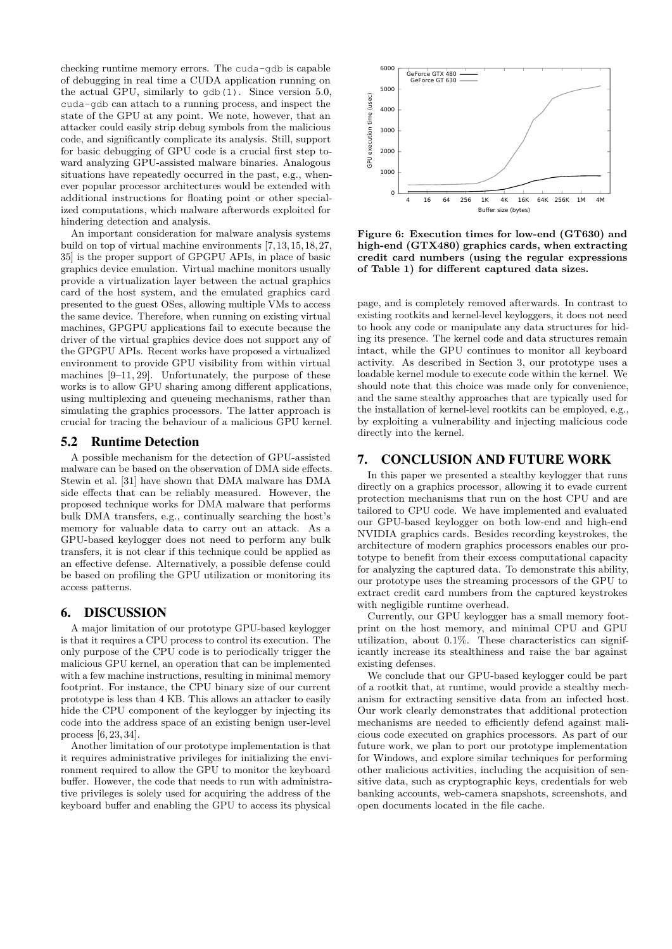checking runtime memory errors. The cuda-gdb is capable of debugging in real time a CUDA application running on the actual GPU, similarly to gdb(1). Since version 5.0, cuda-gdb can attach to a running process, and inspect the state of the GPU at any point. We note, however, that an attacker could easily strip debug symbols from the malicious code, and significantly complicate its analysis. Still, support for basic debugging of GPU code is a crucial first step toward analyzing GPU-assisted malware binaries. Analogous situations have repeatedly occurred in the past, e.g., whenever popular processor architectures would be extended with additional instructions for floating point or other specialized computations, which malware afterwords exploited for hindering detection and analysis.

An important consideration for malware analysis systems build on top of virtual machine environments [\[7,](#page-5-21)[13,](#page-5-22)[15,](#page-5-23)[18,](#page-5-24)[27,](#page-5-25) [35\]](#page-5-26) is the proper support of GPGPU APIs, in place of basic graphics device emulation. Virtual machine monitors usually provide a virtualization layer between the actual graphics card of the host system, and the emulated graphics card presented to the guest OSes, allowing multiple VMs to access the same device. Therefore, when running on existing virtual machines, GPGPU applications fail to execute because the driver of the virtual graphics device does not support any of the GPGPU APIs. Recent works have proposed a virtualized environment to provide GPU visibility from within virtual machines  $[9-11, 29]$  $[9-11, 29]$  $[9-11, 29]$  $[9-11, 29]$ . Unfortunately, the purpose of these works is to allow GPU sharing among different applications, using multiplexing and queueing mechanisms, rather than simulating the graphics processors. The latter approach is crucial for tracing the behaviour of a malicious GPU kernel.

#### 5.2 Runtime Detection

A possible mechanism for the detection of GPU-assisted malware can be based on the observation of DMA side effects. Stewin et al. [\[31\]](#page-5-30) have shown that DMA malware has DMA side effects that can be reliably measured. However, the proposed technique works for DMA malware that performs bulk DMA transfers, e.g., continually searching the host's memory for valuable data to carry out an attack. As a GPU-based keylogger does not need to perform any bulk transfers, it is not clear if this technique could be applied as an effective defense. Alternatively, a possible defense could be based on profiling the GPU utilization or monitoring its access patterns.

# 6. DISCUSSION

A major limitation of our prototype GPU-based keylogger is that it requires a CPU process to control its execution. The only purpose of the CPU code is to periodically trigger the malicious GPU kernel, an operation that can be implemented with a few machine instructions, resulting in minimal memory footprint. For instance, the CPU binary size of our current prototype is less than 4 KB. This allows an attacker to easily hide the CPU component of the keylogger by injecting its code into the address space of an existing benign user-level process [\[6,](#page-5-31) [23,](#page-5-32) [34\]](#page-5-33).

Another limitation of our prototype implementation is that it requires administrative privileges for initializing the environment required to allow the GPU to monitor the keyboard buffer. However, the code that needs to run with administrative privileges is solely used for acquiring the address of the keyboard buffer and enabling the GPU to access its physical



<span id="page-4-0"></span>**Figure 6: Execution times for low-end (GT630) and high-end (GTX480) graphics cards, when extracting credit card numbers (using the regular expressions of Table [1\)](#page-3-3) for different captured data sizes.**

page, and is completely removed afterwards. In contrast to existing rootkits and kernel-level keyloggers, it does not need to hook any code or manipulate any data structures for hiding its presence. The kernel code and data structures remain intact, while the GPU continues to monitor all keyboard activity. As described in Section [3,](#page-1-2) our prototype uses a loadable kernel module to execute code within the kernel. We should note that this choice was made only for convenience, and the same stealthy approaches that are typically used for the installation of kernel-level rootkits can be employed, e.g., by exploiting a vulnerability and injecting malicious code directly into the kernel.

#### 7. CONCLUSION AND FUTURE WORK

In this paper we presented a stealthy keylogger that runs directly on a graphics processor, allowing it to evade current protection mechanisms that run on the host CPU and are tailored to CPU code. We have implemented and evaluated our GPU-based keylogger on both low-end and high-end NVIDIA graphics cards. Besides recording keystrokes, the architecture of modern graphics processors enables our prototype to benefit from their excess computational capacity for analyzing the captured data. To demonstrate this ability, our prototype uses the streaming processors of the GPU to extract credit card numbers from the captured keystrokes with negligible runtime overhead.

Currently, our GPU keylogger has a small memory footprint on the host memory, and minimal CPU and GPU utilization, about 0.1%. These characteristics can significantly increase its stealthiness and raise the bar against existing defenses.

We conclude that our GPU-based keylogger could be part of a rootkit that, at runtime, would provide a stealthy mechanism for extracting sensitive data from an infected host. Our work clearly demonstrates that additional protection mechanisms are needed to efficiently defend against malicious code executed on graphics processors. As part of our future work, we plan to port our prototype implementation for Windows, and explore similar techniques for performing other malicious activities, including the acquisition of sensitive data, such as cryptographic keys, credentials for web banking accounts, web-camera snapshots, screenshots, and open documents located in the file cache.